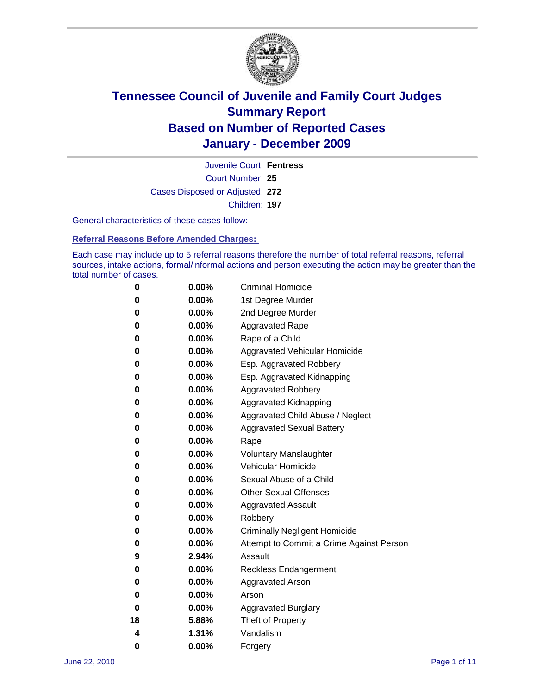

Court Number: **25** Juvenile Court: **Fentress** Cases Disposed or Adjusted: **272** Children: **197**

General characteristics of these cases follow:

**Referral Reasons Before Amended Charges:** 

Each case may include up to 5 referral reasons therefore the number of total referral reasons, referral sources, intake actions, formal/informal actions and person executing the action may be greater than the total number of cases.

| 0  | $0.00\%$ | <b>Criminal Homicide</b>                 |  |  |  |
|----|----------|------------------------------------------|--|--|--|
| 0  | 0.00%    | 1st Degree Murder                        |  |  |  |
| 0  | 0.00%    | 2nd Degree Murder                        |  |  |  |
| 0  | 0.00%    | <b>Aggravated Rape</b>                   |  |  |  |
| 0  | 0.00%    | Rape of a Child                          |  |  |  |
| 0  | 0.00%    | Aggravated Vehicular Homicide            |  |  |  |
| 0  | 0.00%    | Esp. Aggravated Robbery                  |  |  |  |
| 0  | 0.00%    | Esp. Aggravated Kidnapping               |  |  |  |
| 0  | 0.00%    | <b>Aggravated Robbery</b>                |  |  |  |
| 0  | 0.00%    | Aggravated Kidnapping                    |  |  |  |
| 0  | 0.00%    | Aggravated Child Abuse / Neglect         |  |  |  |
| 0  | 0.00%    | <b>Aggravated Sexual Battery</b>         |  |  |  |
| 0  | 0.00%    | Rape                                     |  |  |  |
| 0  | $0.00\%$ | <b>Voluntary Manslaughter</b>            |  |  |  |
| 0  | 0.00%    | Vehicular Homicide                       |  |  |  |
| 0  | 0.00%    | Sexual Abuse of a Child                  |  |  |  |
| 0  | 0.00%    | <b>Other Sexual Offenses</b>             |  |  |  |
| 0  | 0.00%    | <b>Aggravated Assault</b>                |  |  |  |
| 0  | 0.00%    | Robbery                                  |  |  |  |
| 0  | 0.00%    | <b>Criminally Negligent Homicide</b>     |  |  |  |
| 0  | 0.00%    | Attempt to Commit a Crime Against Person |  |  |  |
| 9  | 2.94%    | Assault                                  |  |  |  |
| 0  | 0.00%    | <b>Reckless Endangerment</b>             |  |  |  |
| 0  | 0.00%    | <b>Aggravated Arson</b>                  |  |  |  |
| 0  | 0.00%    | Arson                                    |  |  |  |
| 0  | 0.00%    | <b>Aggravated Burglary</b>               |  |  |  |
| 18 | 5.88%    | Theft of Property                        |  |  |  |
| 4  | 1.31%    | Vandalism                                |  |  |  |
| 0  | 0.00%    | Forgery                                  |  |  |  |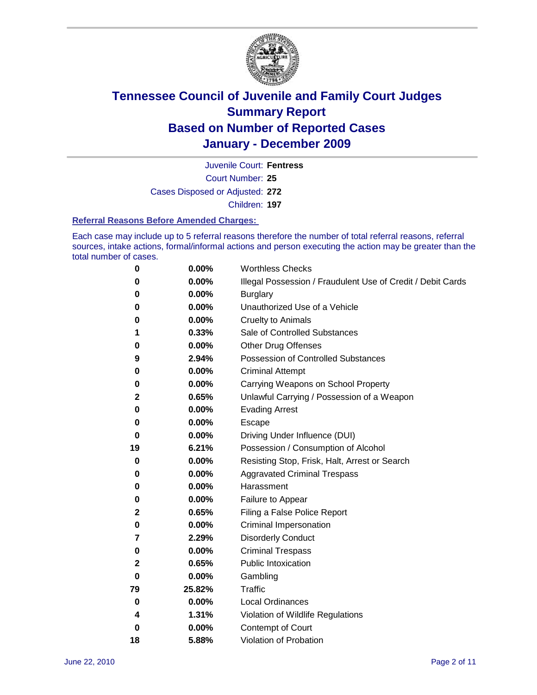

Court Number: **25** Juvenile Court: **Fentress**

Cases Disposed or Adjusted: **272**

Children: **197**

#### **Referral Reasons Before Amended Charges:**

Each case may include up to 5 referral reasons therefore the number of total referral reasons, referral sources, intake actions, formal/informal actions and person executing the action may be greater than the total number of cases.

| 0            | 0.00%    | <b>Worthless Checks</b>                                     |
|--------------|----------|-------------------------------------------------------------|
| 0            | 0.00%    | Illegal Possession / Fraudulent Use of Credit / Debit Cards |
| 0            | 0.00%    | <b>Burglary</b>                                             |
| 0            | 0.00%    | Unauthorized Use of a Vehicle                               |
| 0            | $0.00\%$ | <b>Cruelty to Animals</b>                                   |
| 1            | 0.33%    | Sale of Controlled Substances                               |
| 0            | 0.00%    | <b>Other Drug Offenses</b>                                  |
| 9            | 2.94%    | <b>Possession of Controlled Substances</b>                  |
| 0            | 0.00%    | <b>Criminal Attempt</b>                                     |
| 0            | 0.00%    | Carrying Weapons on School Property                         |
| $\mathbf{2}$ | 0.65%    | Unlawful Carrying / Possession of a Weapon                  |
| 0            | 0.00%    | <b>Evading Arrest</b>                                       |
| 0            | $0.00\%$ | Escape                                                      |
| 0            | 0.00%    | Driving Under Influence (DUI)                               |
| 19           | 6.21%    | Possession / Consumption of Alcohol                         |
| 0            | 0.00%    | Resisting Stop, Frisk, Halt, Arrest or Search               |
| 0            | 0.00%    | <b>Aggravated Criminal Trespass</b>                         |
| 0            | 0.00%    | Harassment                                                  |
| 0            | 0.00%    | Failure to Appear                                           |
| 2            | 0.65%    | Filing a False Police Report                                |
| 0            | 0.00%    | Criminal Impersonation                                      |
| 7            | 2.29%    | <b>Disorderly Conduct</b>                                   |
| 0            | 0.00%    | <b>Criminal Trespass</b>                                    |
| $\mathbf{2}$ | 0.65%    | Public Intoxication                                         |
| 0            | 0.00%    | Gambling                                                    |
| 79           | 25.82%   | Traffic                                                     |
| 0            | 0.00%    | <b>Local Ordinances</b>                                     |
| 4            | 1.31%    | Violation of Wildlife Regulations                           |
| 0            | 0.00%    | Contempt of Court                                           |
| 18           | 5.88%    | Violation of Probation                                      |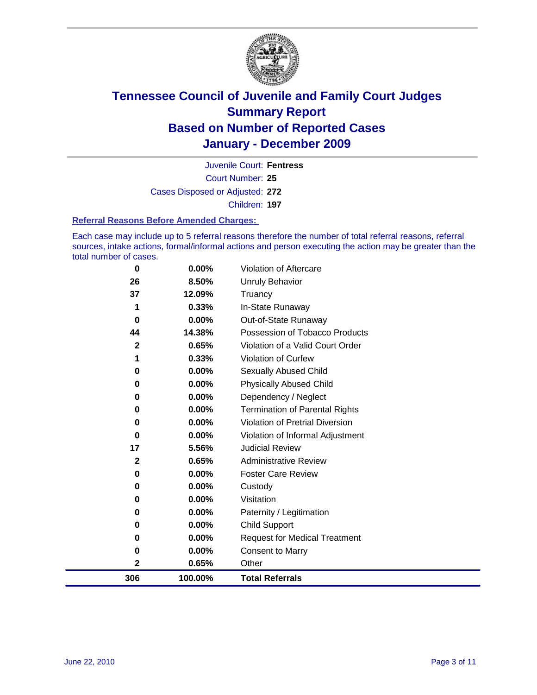

Court Number: **25** Juvenile Court: **Fentress** Cases Disposed or Adjusted: **272** Children: **197**

#### **Referral Reasons Before Amended Charges:**

Each case may include up to 5 referral reasons therefore the number of total referral reasons, referral sources, intake actions, formal/informal actions and person executing the action may be greater than the total number of cases.

| 306          | 100.00%  | <b>Total Referrals</b>                 |
|--------------|----------|----------------------------------------|
| 2            | 0.65%    | Other                                  |
| 0            | 0.00%    | <b>Consent to Marry</b>                |
| 0            | $0.00\%$ | <b>Request for Medical Treatment</b>   |
| 0            | $0.00\%$ | <b>Child Support</b>                   |
| 0            | $0.00\%$ | Paternity / Legitimation               |
| 0            | 0.00%    | Visitation                             |
| 0            | $0.00\%$ | Custody                                |
| 0            | 0.00%    | <b>Foster Care Review</b>              |
| $\mathbf{2}$ | 0.65%    | <b>Administrative Review</b>           |
| 17           | 5.56%    | <b>Judicial Review</b>                 |
| 0            | 0.00%    | Violation of Informal Adjustment       |
| 0            | $0.00\%$ | <b>Violation of Pretrial Diversion</b> |
| 0            | $0.00\%$ | Termination of Parental Rights         |
| 0            | $0.00\%$ | Dependency / Neglect                   |
| 0            | $0.00\%$ | <b>Physically Abused Child</b>         |
| 0            | 0.00%    | Sexually Abused Child                  |
|              | 0.33%    | <b>Violation of Curfew</b>             |
| $\mathbf{2}$ | 0.65%    | Violation of a Valid Court Order       |
| 44           | 14.38%   | Possession of Tobacco Products         |
| 0            | $0.00\%$ | Out-of-State Runaway                   |
| 1            | 0.33%    | In-State Runaway                       |
| 37           | 12.09%   | <b>Unruly Behavior</b><br>Truancy      |
| 26           | 8.50%    |                                        |
| $\bf{0}$     | $0.00\%$ | <b>Violation of Aftercare</b>          |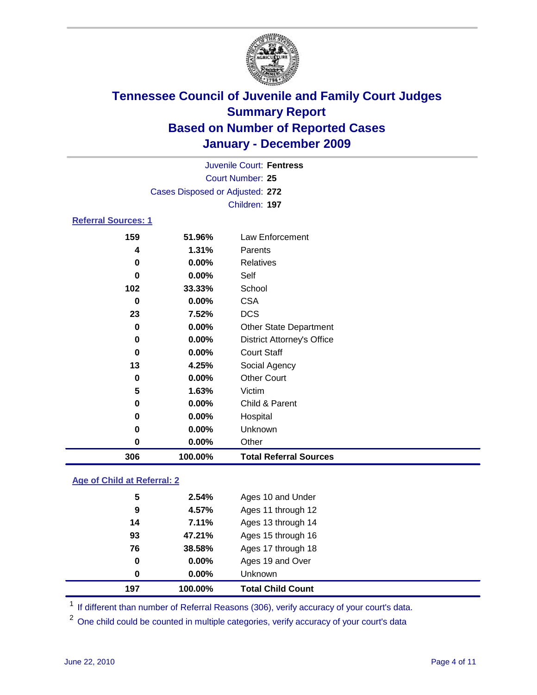

|                            |                                 | Juvenile Court: Fentress          |  |  |  |
|----------------------------|---------------------------------|-----------------------------------|--|--|--|
| Court Number: 25           |                                 |                                   |  |  |  |
|                            | Cases Disposed or Adjusted: 272 |                                   |  |  |  |
|                            |                                 | Children: 197                     |  |  |  |
| <b>Referral Sources: 1</b> |                                 |                                   |  |  |  |
| 159                        | 51.96%                          | Law Enforcement                   |  |  |  |
| 4                          | 1.31%                           | Parents                           |  |  |  |
| 0                          | $0.00\%$                        | Relatives                         |  |  |  |
| 0                          | $0.00\%$                        | Self                              |  |  |  |
| 102                        | 33.33%                          | School                            |  |  |  |
| 0                          | $0.00\%$                        | <b>CSA</b>                        |  |  |  |
| 23                         | 7.52%                           | <b>DCS</b>                        |  |  |  |
| 0                          | 0.00%                           | <b>Other State Department</b>     |  |  |  |
| 0                          | $0.00\%$                        | <b>District Attorney's Office</b> |  |  |  |
| 0                          | $0.00\%$                        | <b>Court Staff</b>                |  |  |  |
| 13                         | 4.25%                           | Social Agency                     |  |  |  |
| 0                          | $0.00\%$                        | <b>Other Court</b>                |  |  |  |
| 5                          | 1.63%                           | Victim                            |  |  |  |
| 0                          | $0.00\%$                        | Child & Parent                    |  |  |  |
| 0                          | $0.00\%$                        | Hospital                          |  |  |  |
| 0                          | 0.00%                           | Unknown                           |  |  |  |
| 0                          | 0.00%                           | Other                             |  |  |  |

### **Age of Child at Referral: 2**

| 0  | $0.00\%$ | Unknown            |                                            |
|----|----------|--------------------|--------------------------------------------|
| 0  | 0.00%    | Ages 19 and Over   |                                            |
| 76 | 38.58%   | Ages 17 through 18 |                                            |
| 93 | 47.21%   | Ages 15 through 16 |                                            |
| 14 | 7.11%    | Ages 13 through 14 |                                            |
| 9  | 4.57%    | Ages 11 through 12 |                                            |
| 5  | 2.54%    | Ages 10 and Under  |                                            |
|    |          |                    | <b>Total Child Count</b><br>197<br>100.00% |

<sup>1</sup> If different than number of Referral Reasons (306), verify accuracy of your court's data.

**100.00% Total Referral Sources**

<sup>2</sup> One child could be counted in multiple categories, verify accuracy of your court's data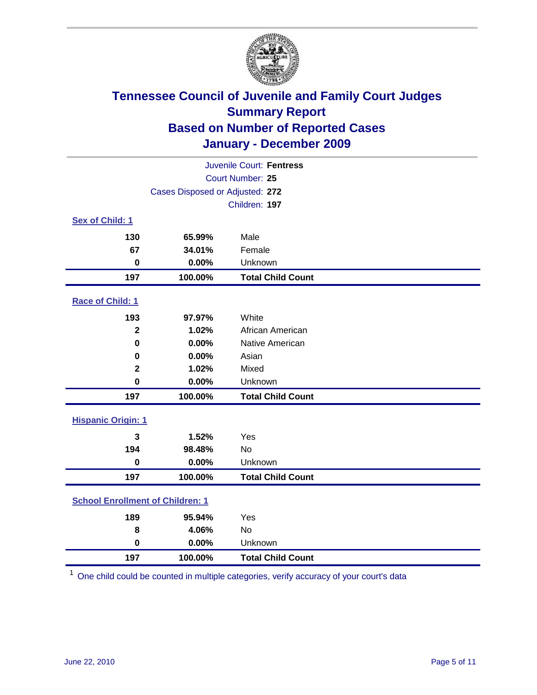

| Juvenile Court: Fentress                |                                 |                          |  |  |  |
|-----------------------------------------|---------------------------------|--------------------------|--|--|--|
| <b>Court Number: 25</b>                 |                                 |                          |  |  |  |
|                                         | Cases Disposed or Adjusted: 272 |                          |  |  |  |
|                                         | Children: 197                   |                          |  |  |  |
| Sex of Child: 1                         |                                 |                          |  |  |  |
| 130                                     | 65.99%                          | Male                     |  |  |  |
| 67                                      | 34.01%                          | Female                   |  |  |  |
| $\bf{0}$                                | 0.00%                           | Unknown                  |  |  |  |
| 197                                     | 100.00%                         | <b>Total Child Count</b> |  |  |  |
| Race of Child: 1                        |                                 |                          |  |  |  |
| 193                                     | 97.97%                          | White                    |  |  |  |
| $\overline{\mathbf{2}}$                 | 1.02%                           | African American         |  |  |  |
| $\mathbf 0$                             | 0.00%                           | Native American          |  |  |  |
| 0                                       | 0.00%                           | Asian                    |  |  |  |
| $\mathbf 2$                             | 1.02%                           | Mixed                    |  |  |  |
| $\mathbf 0$                             | 0.00%                           | Unknown                  |  |  |  |
| 197                                     | 100.00%                         | <b>Total Child Count</b> |  |  |  |
| <b>Hispanic Origin: 1</b>               |                                 |                          |  |  |  |
| 3                                       | 1.52%                           | Yes                      |  |  |  |
| 194                                     | 98.48%                          | <b>No</b>                |  |  |  |
| $\mathbf 0$                             | 0.00%                           | Unknown                  |  |  |  |
| 197                                     | 100.00%                         | <b>Total Child Count</b> |  |  |  |
| <b>School Enrollment of Children: 1</b> |                                 |                          |  |  |  |
| 189                                     | 95.94%                          | Yes                      |  |  |  |
| 8                                       | 4.06%                           | No                       |  |  |  |
| $\mathbf 0$                             | 0.00%                           | Unknown                  |  |  |  |
| 197                                     | 100.00%                         | <b>Total Child Count</b> |  |  |  |

One child could be counted in multiple categories, verify accuracy of your court's data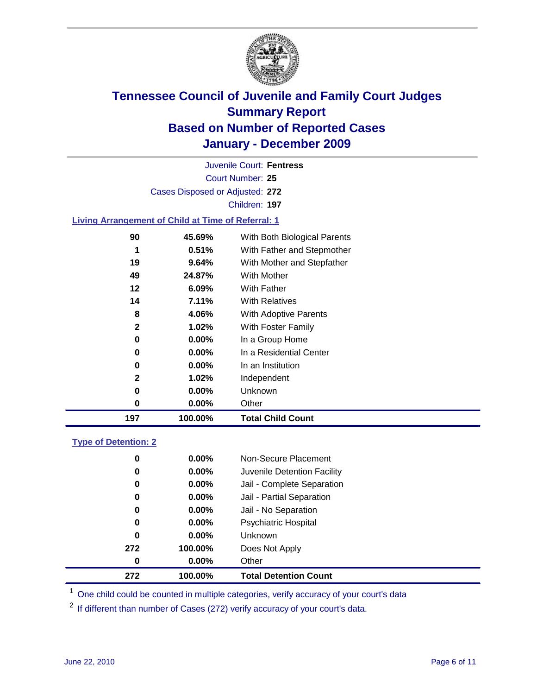

Court Number: **25** Juvenile Court: **Fentress** Cases Disposed or Adjusted: **272** Children: **197**

#### **Living Arrangement of Child at Time of Referral: 1**

| 197 | 100.00%  | <b>Total Child Count</b>     |
|-----|----------|------------------------------|
| 0   | 0.00%    | Other                        |
| 0   | $0.00\%$ | Unknown                      |
| 2   | 1.02%    | Independent                  |
| 0   | 0.00%    | In an Institution            |
| 0   | $0.00\%$ | In a Residential Center      |
| 0   | 0.00%    | In a Group Home              |
| 2   | 1.02%    | With Foster Family           |
| 8   | 4.06%    | With Adoptive Parents        |
| 14  | 7.11%    | <b>With Relatives</b>        |
| 12  | $6.09\%$ | With Father                  |
| 49  | 24.87%   | With Mother                  |
| 19  | 9.64%    | With Mother and Stepfather   |
|     | 0.51%    | With Father and Stepmother   |
| 90  | 45.69%   | With Both Biological Parents |
|     |          |                              |

#### **Type of Detention: 2**

| 272      | 100.00%  | <b>Total Detention Count</b> |  |
|----------|----------|------------------------------|--|
| $\bf{0}$ | $0.00\%$ | Other                        |  |
| 272      | 100.00%  | Does Not Apply               |  |
| 0        | $0.00\%$ | <b>Unknown</b>               |  |
| 0        | $0.00\%$ | <b>Psychiatric Hospital</b>  |  |
| 0        | 0.00%    | Jail - No Separation         |  |
| 0        | $0.00\%$ | Jail - Partial Separation    |  |
| 0        | $0.00\%$ | Jail - Complete Separation   |  |
| 0        | 0.00%    | Juvenile Detention Facility  |  |
| 0        | $0.00\%$ | Non-Secure Placement         |  |
|          |          |                              |  |

<sup>1</sup> One child could be counted in multiple categories, verify accuracy of your court's data

<sup>2</sup> If different than number of Cases (272) verify accuracy of your court's data.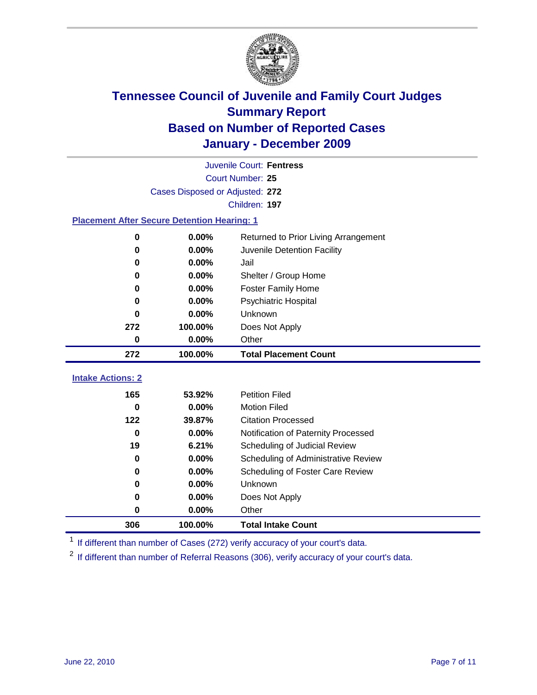

| <b>Juvenile Court: Fentress</b>                    |                                 |                                      |  |  |  |
|----------------------------------------------------|---------------------------------|--------------------------------------|--|--|--|
|                                                    | Court Number: 25                |                                      |  |  |  |
|                                                    | Cases Disposed or Adjusted: 272 |                                      |  |  |  |
|                                                    |                                 | Children: 197                        |  |  |  |
| <b>Placement After Secure Detention Hearing: 1</b> |                                 |                                      |  |  |  |
| 0                                                  | 0.00%                           | Returned to Prior Living Arrangement |  |  |  |
| $\bf{0}$                                           | 0.00%                           | Juvenile Detention Facility          |  |  |  |
| 0                                                  | 0.00%                           | Jail                                 |  |  |  |
| 0                                                  | 0.00%                           | Shelter / Group Home                 |  |  |  |
| 0                                                  | 0.00%                           | <b>Foster Family Home</b>            |  |  |  |
| $\bf{0}$                                           | 0.00%                           | Psychiatric Hospital                 |  |  |  |
| 0                                                  | 0.00%                           | Unknown                              |  |  |  |
| 272                                                | 100.00%                         | Does Not Apply                       |  |  |  |
| $\mathbf 0$                                        | 0.00%                           | Other                                |  |  |  |
|                                                    |                                 |                                      |  |  |  |
| 272                                                | 100.00%                         | <b>Total Placement Count</b>         |  |  |  |
| <b>Intake Actions: 2</b>                           |                                 |                                      |  |  |  |
| 165                                                | 53.92%                          | <b>Petition Filed</b>                |  |  |  |
| $\bf{0}$                                           | 0.00%                           | <b>Motion Filed</b>                  |  |  |  |
| 122                                                | 39.87%                          | <b>Citation Processed</b>            |  |  |  |
| $\bf{0}$                                           | 0.00%                           | Notification of Paternity Processed  |  |  |  |
| 19                                                 | 6.21%                           | Scheduling of Judicial Review        |  |  |  |
| $\bf{0}$                                           | 0.00%                           | Scheduling of Administrative Review  |  |  |  |
| 0                                                  | 0.00%                           | Scheduling of Foster Care Review     |  |  |  |
| $\bf{0}$                                           | 0.00%                           | Unknown                              |  |  |  |
| 0                                                  | 0.00%                           | Does Not Apply                       |  |  |  |
| 0                                                  | 0.00%                           | Other                                |  |  |  |

<sup>1</sup> If different than number of Cases (272) verify accuracy of your court's data.

<sup>2</sup> If different than number of Referral Reasons (306), verify accuracy of your court's data.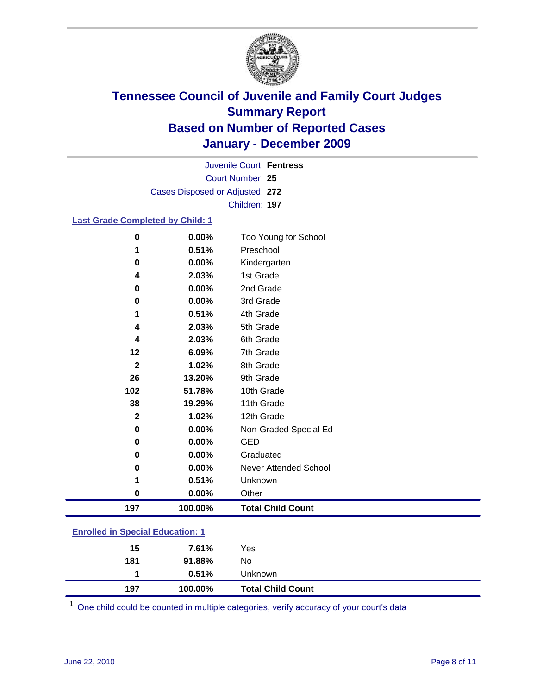

Court Number: **25** Juvenile Court: **Fentress** Cases Disposed or Adjusted: **272** Children: **197**

#### **Last Grade Completed by Child: 1**

| 0                                       | 0.00%   | Too Young for School         |  |
|-----------------------------------------|---------|------------------------------|--|
| 1                                       | 0.51%   | Preschool                    |  |
| $\bf{0}$                                | 0.00%   | Kindergarten                 |  |
| 4                                       | 2.03%   | 1st Grade                    |  |
| 0                                       | 0.00%   | 2nd Grade                    |  |
| $\bf{0}$                                | 0.00%   | 3rd Grade                    |  |
| 1                                       | 0.51%   | 4th Grade                    |  |
| 4                                       | 2.03%   | 5th Grade                    |  |
| 4                                       | 2.03%   | 6th Grade                    |  |
| 12                                      | 6.09%   | 7th Grade                    |  |
| $\mathbf{2}$                            | 1.02%   | 8th Grade                    |  |
| 26                                      | 13.20%  | 9th Grade                    |  |
| 102                                     | 51.78%  | 10th Grade                   |  |
| 38                                      | 19.29%  | 11th Grade                   |  |
| $\mathbf 2$                             | 1.02%   | 12th Grade                   |  |
| 0                                       | 0.00%   | Non-Graded Special Ed        |  |
| $\bf{0}$                                | 0.00%   | <b>GED</b>                   |  |
| 0                                       | 0.00%   | Graduated                    |  |
| $\bf{0}$                                | 0.00%   | <b>Never Attended School</b> |  |
| 1                                       | 0.51%   | Unknown                      |  |
| $\bf{0}$                                | 0.00%   | Other                        |  |
| 197                                     | 100.00% | <b>Total Child Count</b>     |  |
| <b>Enrolled in Special Education: 1</b> |         |                              |  |

| 197 | 100.00% | <b>Total Child Count</b> |  |  |
|-----|---------|--------------------------|--|--|
|     | 0.51%   | <b>Unknown</b>           |  |  |
| 181 | 91.88%  | No                       |  |  |
| 15  | 7.61%   | Yes                      |  |  |
|     |         |                          |  |  |

One child could be counted in multiple categories, verify accuracy of your court's data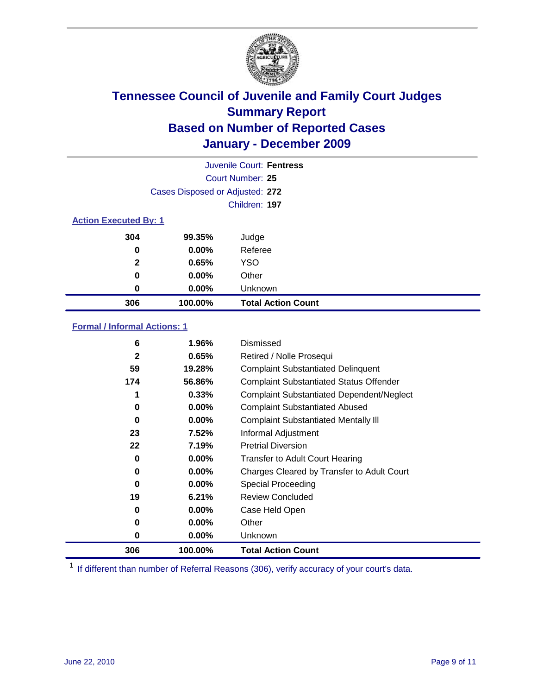

|                              | Juvenile Court: Fentress        |                           |  |  |
|------------------------------|---------------------------------|---------------------------|--|--|
|                              | Court Number: 25                |                           |  |  |
|                              | Cases Disposed or Adjusted: 272 |                           |  |  |
|                              | Children: 197                   |                           |  |  |
| <b>Action Executed By: 1</b> |                                 |                           |  |  |
| 304                          | 99.35%                          | Judge                     |  |  |
| 0                            | 0.00%                           | Referee                   |  |  |
| $\mathbf{2}$                 | 0.65%                           | <b>YSO</b>                |  |  |
| 0                            | $0.00\%$                        | Other                     |  |  |
| 0                            | 0.00%                           | Unknown                   |  |  |
| 306                          | 100.00%                         | <b>Total Action Count</b> |  |  |

### **Formal / Informal Actions: 1**

| 6            | 1.96%    | Dismissed                                        |
|--------------|----------|--------------------------------------------------|
| $\mathbf{2}$ | 0.65%    | Retired / Nolle Prosequi                         |
| 59           | 19.28%   | <b>Complaint Substantiated Delinquent</b>        |
| 174          | 56.86%   | <b>Complaint Substantiated Status Offender</b>   |
| 1            | 0.33%    | <b>Complaint Substantiated Dependent/Neglect</b> |
| 0            | $0.00\%$ | <b>Complaint Substantiated Abused</b>            |
| 0            | $0.00\%$ | <b>Complaint Substantiated Mentally III</b>      |
| 23           | 7.52%    | Informal Adjustment                              |
| 22           | 7.19%    | <b>Pretrial Diversion</b>                        |
| 0            | $0.00\%$ | <b>Transfer to Adult Court Hearing</b>           |
| 0            | $0.00\%$ | Charges Cleared by Transfer to Adult Court       |
| 0            | $0.00\%$ | <b>Special Proceeding</b>                        |
| 19           | 6.21%    | <b>Review Concluded</b>                          |
| 0            | $0.00\%$ | Case Held Open                                   |
| 0            | $0.00\%$ | Other                                            |
| 0            | $0.00\%$ | Unknown                                          |
| 306          | 100.00%  | <b>Total Action Count</b>                        |

<sup>1</sup> If different than number of Referral Reasons (306), verify accuracy of your court's data.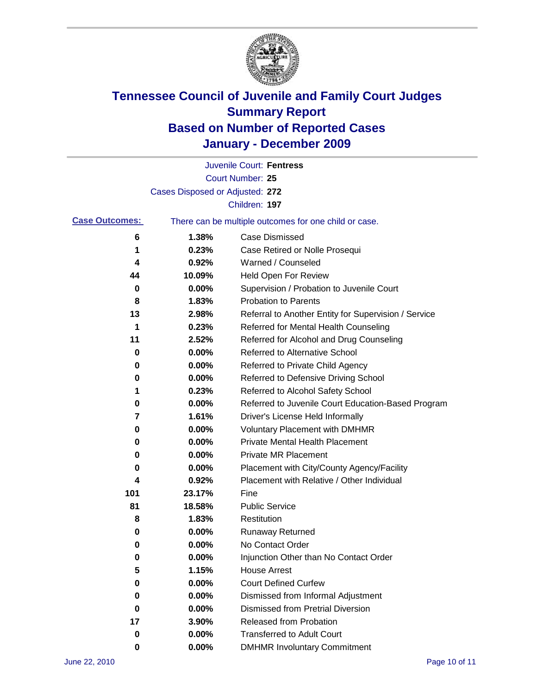

|                       |                                 | Juvenile Court: Fentress                              |
|-----------------------|---------------------------------|-------------------------------------------------------|
|                       |                                 | Court Number: 25                                      |
|                       | Cases Disposed or Adjusted: 272 |                                                       |
|                       |                                 | Children: 197                                         |
| <b>Case Outcomes:</b> |                                 | There can be multiple outcomes for one child or case. |
| 6                     | 1.38%                           | <b>Case Dismissed</b>                                 |
| 1                     | 0.23%                           | Case Retired or Nolle Prosequi                        |
| 4                     | 0.92%                           | Warned / Counseled                                    |
| 44                    | 10.09%                          | Held Open For Review                                  |
| 0                     | 0.00%                           | Supervision / Probation to Juvenile Court             |
| 8                     | 1.83%                           | <b>Probation to Parents</b>                           |
| 13                    | 2.98%                           | Referral to Another Entity for Supervision / Service  |
| 1                     | 0.23%                           | Referred for Mental Health Counseling                 |
| 11                    | 2.52%                           | Referred for Alcohol and Drug Counseling              |
| 0                     | 0.00%                           | <b>Referred to Alternative School</b>                 |
| 0                     | 0.00%                           | Referred to Private Child Agency                      |
| 0                     | 0.00%                           | Referred to Defensive Driving School                  |
| 1                     | 0.23%                           | Referred to Alcohol Safety School                     |
| 0                     | 0.00%                           | Referred to Juvenile Court Education-Based Program    |
| 7                     | 1.61%                           | Driver's License Held Informally                      |
| 0                     | 0.00%                           | <b>Voluntary Placement with DMHMR</b>                 |
| 0                     | 0.00%                           | <b>Private Mental Health Placement</b>                |
| 0                     | 0.00%                           | <b>Private MR Placement</b>                           |
| 0                     | 0.00%                           | Placement with City/County Agency/Facility            |
| 4                     | 0.92%                           | Placement with Relative / Other Individual            |
| 101                   | 23.17%                          | Fine                                                  |
| 81                    | 18.58%                          | <b>Public Service</b>                                 |
| 8                     | 1.83%                           | Restitution                                           |
| 0                     | 0.00%                           | <b>Runaway Returned</b>                               |
| 0                     | 0.00%                           | No Contact Order                                      |
| 0                     | 0.00%                           | Injunction Other than No Contact Order                |
| 5                     | 1.15%                           | <b>House Arrest</b>                                   |
| 0                     | 0.00%                           | <b>Court Defined Curfew</b>                           |
| 0                     | 0.00%                           | Dismissed from Informal Adjustment                    |
| 0                     | 0.00%                           | <b>Dismissed from Pretrial Diversion</b>              |
| 17                    | 3.90%                           | Released from Probation                               |
| 0                     | 0.00%                           | <b>Transferred to Adult Court</b>                     |
| 0                     | 0.00%                           | <b>DMHMR Involuntary Commitment</b>                   |